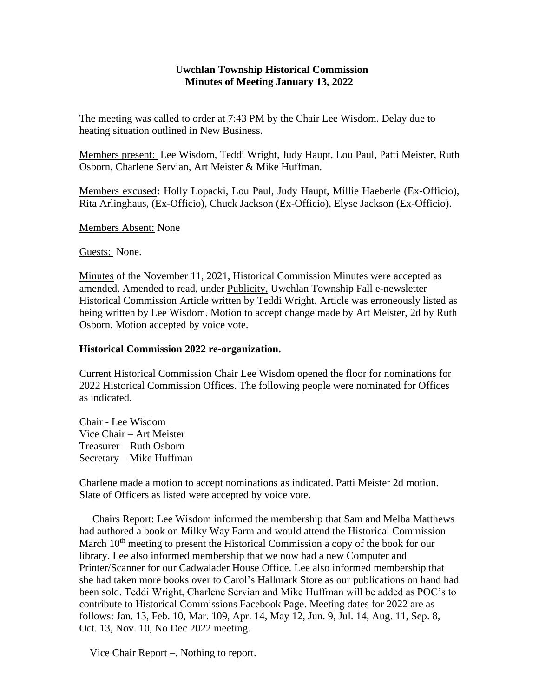## **Uwchlan Township Historical Commission Minutes of Meeting January 13, 2022**

The meeting was called to order at 7:43 PM by the Chair Lee Wisdom. Delay due to heating situation outlined in New Business.

Members present: Lee Wisdom, Teddi Wright, Judy Haupt, Lou Paul, Patti Meister, Ruth Osborn, Charlene Servian, Art Meister & Mike Huffman.

Members excused**:** Holly Lopacki, Lou Paul, Judy Haupt, Millie Haeberle (Ex-Officio), Rita Arlinghaus, (Ex-Officio), Chuck Jackson (Ex-Officio), Elyse Jackson (Ex-Officio).

Members Absent: None

Guests: None.

Minutes of the November 11, 2021, Historical Commission Minutes were accepted as amended. Amended to read, under Publicity, Uwchlan Township Fall e-newsletter Historical Commission Article written by Teddi Wright. Article was erroneously listed as being written by Lee Wisdom. Motion to accept change made by Art Meister, 2d by Ruth Osborn. Motion accepted by voice vote.

## **Historical Commission 2022 re-organization.**

Current Historical Commission Chair Lee Wisdom opened the floor for nominations for 2022 Historical Commission Offices. The following people were nominated for Offices as indicated.

Chair - Lee Wisdom Vice Chair – Art Meister Treasurer – Ruth Osborn Secretary – Mike Huffman

Charlene made a motion to accept nominations as indicated. Patti Meister 2d motion. Slate of Officers as listed were accepted by voice vote.

 Chairs Report: Lee Wisdom informed the membership that Sam and Melba Matthews had authored a book on Milky Way Farm and would attend the Historical Commission March 10<sup>th</sup> meeting to present the Historical Commission a copy of the book for our library. Lee also informed membership that we now had a new Computer and Printer/Scanner for our Cadwalader House Office. Lee also informed membership that she had taken more books over to Carol's Hallmark Store as our publications on hand had been sold. Teddi Wright, Charlene Servian and Mike Huffman will be added as POC's to contribute to Historical Commissions Facebook Page. Meeting dates for 2022 are as follows: Jan. 13, Feb. 10, Mar. 109, Apr. 14, May 12, Jun. 9, Jul. 14, Aug. 11, Sep. 8, Oct. 13, Nov. 10, No Dec 2022 meeting.

Vice Chair Report –. Nothing to report.